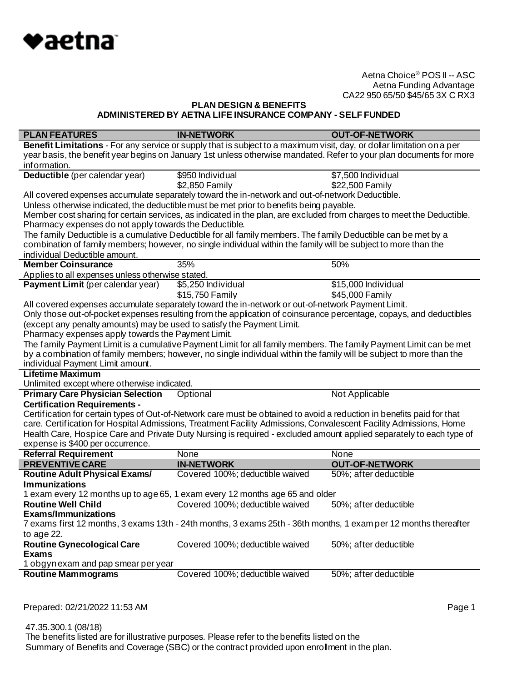

## **PLAN DESIGN & BENEFITS ADMINISTERED BY AETNA LIFE INSURANCE COMPANY - SELF FUNDED**

| <b>PLAN FEATURES</b>                                                   | <b>IN-NETWORK</b>                                                                                                      | <b>OUT-OF-NETWORK</b> |
|------------------------------------------------------------------------|------------------------------------------------------------------------------------------------------------------------|-----------------------|
|                                                                        | Benefit Limitations - For any service or supply that is subject to a maximum visit, day, or dollar limitation on a per |                       |
|                                                                        | year basis, the benefit year begins on January 1st unless otherwise mandated. Refer to your plan documents for more    |                       |
| information.                                                           |                                                                                                                        |                       |
| Deductible (per calendar year)                                         | \$950 Individual                                                                                                       | \$7,500 Individual    |
|                                                                        | \$2,850 Family                                                                                                         | \$22,500 Family       |
|                                                                        | All covered expenses accumulate separately toward the in-network and out-of-network Deductible.                        |                       |
|                                                                        | Unless otherwise indicated, the deductible must be met prior to benefits being payable.                                |                       |
|                                                                        | Member cost sharing for certain services, as indicated in the plan, are excluded from charges to meet the Deductible.  |                       |
| Pharmacy expenses do not apply towards the Deductible.                 |                                                                                                                        |                       |
|                                                                        | The family Deductible is a cumulative Deductible for all family members. The family Deductible can be met by a         |                       |
|                                                                        | combination of family members; however, no single individual within the family will be subject to more than the        |                       |
| individual Deductible amount.                                          |                                                                                                                        |                       |
| <b>Member Coinsurance</b>                                              | 35%                                                                                                                    | 50%                   |
| Applies to all expenses unless otherwise stated.                       |                                                                                                                        |                       |
| Payment Limit (per calendar year)                                      | \$5,250 Individual                                                                                                     | \$15,000 Individual   |
|                                                                        | \$15,750 Family                                                                                                        | \$45,000 Family       |
|                                                                        | All covered expenses accumulate separately toward the in-network or out-of-network Payment Limit.                      |                       |
|                                                                        | Only those out-of-pocket expenses resulting from the application of coinsurance percentage, copays, and deductibles    |                       |
| (except any penalty amounts) may be used to satisfy the Payment Limit. |                                                                                                                        |                       |
| Pharmacy expenses apply towards the Payment Limit.                     |                                                                                                                        |                       |
|                                                                        | The family Payment Limit is a cumulative Payment Limit for all family members. The family Payment Limit can be met     |                       |
|                                                                        | by a combination of family members; however, no single individual within the family will be subject to more than the   |                       |
| individual Payment Limit amount.                                       |                                                                                                                        |                       |
| <b>Lifetime Maximum</b>                                                |                                                                                                                        |                       |
| Unlimited except where otherwise indicated.                            |                                                                                                                        |                       |
| <b>Primary Care Physician Selection</b>                                | Optional                                                                                                               | Not Applicable        |
| <b>Certification Requirements -</b>                                    |                                                                                                                        |                       |
|                                                                        | Certification for certain types of Out-of-Network care must be obtained to avoid a reduction in benefits paid for that |                       |
|                                                                        | care. Certification for Hospital Admissions, Treatment Facility Admissions, Convalescent Facility Admissions, Home     |                       |
|                                                                        | Health Care, Hospice Care and Private Duty Nursing is required - excluded amount applied separately to each type of    |                       |
| expense is \$400 per occurrence.<br><b>Referral Requirement</b>        | None                                                                                                                   | None                  |
| <b>PREVENTIVE CARE</b>                                                 | <b>IN-NETWORK</b>                                                                                                      | <b>OUT-OF-NETWORK</b> |
| <b>Routine Adult Physical Exams/</b>                                   | Covered 100%; deductible waived                                                                                        | 50%; after deductible |
| <b>Immunizations</b>                                                   |                                                                                                                        |                       |
|                                                                        | 1 exam every 12 months up to age 65, 1 exam every 12 months age 65 and older                                           |                       |
| <b>Routine Well Child</b>                                              | Covered 100%; deductible waived                                                                                        | 50%; after deductible |
| <b>Exams/Immunizations</b>                                             |                                                                                                                        |                       |
|                                                                        | 7 exams first 12 months, 3 exams 13th - 24th months, 3 exams 25th - 36th months, 1 exam per 12 months thereafter       |                       |
| to age 22.                                                             |                                                                                                                        |                       |
| <b>Routine Gynecological Care</b>                                      | Covered 100%; deductible waived                                                                                        | 50%; after deductible |
| <b>Exams</b>                                                           |                                                                                                                        |                       |
| 1 obgyn exam and pap smear per year                                    |                                                                                                                        |                       |
| <b>Routine Mammograms</b>                                              | Covered 100%; deductible waived                                                                                        | 50%; after deductible |
|                                                                        |                                                                                                                        |                       |

Prepared: 02/21/2022 11:53 AM **Page 1**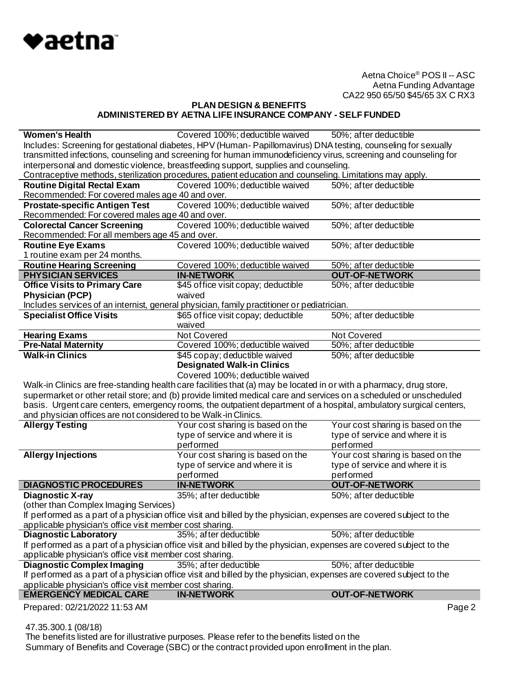

## **PLAN DESIGN & BENEFITS ADMINISTERED BY AETNA LIFE INSURANCE COMPANY - SELF FUNDED**

| <b>Women's Health</b>                                                                                               | Covered 100%; deductible waived 50%; after deductible                                                               |                                   |
|---------------------------------------------------------------------------------------------------------------------|---------------------------------------------------------------------------------------------------------------------|-----------------------------------|
|                                                                                                                     | Includes: Screening for gestational diabetes, HPV (Human-Papillomavirus) DNA testing, counseling for sexually       |                                   |
|                                                                                                                     | transmitted infections, counseling and screening for human immunodeficiency virus, screening and counseling for     |                                   |
| interpersonal and domestic violence, breastfeeding support, supplies and counseling.                                |                                                                                                                     |                                   |
|                                                                                                                     | Contraceptive methods, sterilization procedures, patient education and counseling. Limitations may apply.           |                                   |
| <b>Routine Digital Rectal Exam</b>                                                                                  | Covered 100%; deductible waived                                                                                     | 50%; after deductible             |
| Recommended: For covered males age 40 and over.                                                                     |                                                                                                                     |                                   |
| <b>Prostate-specific Antigen Test</b>                                                                               | Covered 100%; deductible waived                                                                                     | 50%; after deductible             |
| Recommended: For covered males age 40 and over.                                                                     |                                                                                                                     |                                   |
| <b>Colorectal Cancer Screening</b>                                                                                  | Covered 100%; deductible waived                                                                                     | 50%; after deductible             |
| Recommended: For all members age 45 and over.                                                                       |                                                                                                                     |                                   |
| <b>Routine Eye Exams</b>                                                                                            | Covered 100%; deductible waived                                                                                     | 50%; after deductible             |
| 1 routine exam per 24 months.                                                                                       |                                                                                                                     |                                   |
| <b>Routine Hearing Screening</b>                                                                                    | Covered 100%; deductible waived                                                                                     | 50%; after deductible             |
| <b>PHYSICIAN SERVICES</b>                                                                                           | <b>IN-NETWORK</b>                                                                                                   | <b>OUT-OF-NETWORK</b>             |
| <b>Office Visits to Primary Care</b>                                                                                | \$45 office visit copay; deductible                                                                                 | 50%; after deductible             |
| <b>Physician (PCP)</b>                                                                                              | waived                                                                                                              |                                   |
|                                                                                                                     | Includes services of an internist, general physician, family practitioner or pediatrician.                          |                                   |
| <b>Specialist Office Visits</b>                                                                                     | \$65 office visit copay; deductible                                                                                 | 50%; after deductible             |
|                                                                                                                     | waived                                                                                                              |                                   |
| <b>Hearing Exams</b>                                                                                                | <b>Not Covered</b>                                                                                                  | Not Covered                       |
| <b>Pre-Natal Maternity</b>                                                                                          | Covered 100%; deductible waived                                                                                     | 50%; after deductible             |
| <b>Walk-in Clinics</b>                                                                                              | \$45 copay; deductible waived                                                                                       | 50%; after deductible             |
|                                                                                                                     | <b>Designated Walk-in Clinics</b>                                                                                   |                                   |
|                                                                                                                     | Covered 100%; deductible waived                                                                                     |                                   |
|                                                                                                                     | Walk-in Clinics are free-standing health care facilities that (a) may be located in or with a pharmacy, drug store, |                                   |
|                                                                                                                     | supermarket or other retail store; and (b) provide limited medical care and services on a scheduled or unscheduled  |                                   |
|                                                                                                                     | basis. Urgent care centers, emergency rooms, the outpatient department of a hospital, ambulatory surgical centers,  |                                   |
| and physician offices are not considered to be Walk-in Clinics.                                                     |                                                                                                                     |                                   |
| <b>Allergy Testing</b>                                                                                              | Your cost sharing is based on the                                                                                   | Your cost sharing is based on the |
|                                                                                                                     | type of service and where it is                                                                                     | type of service and where it is   |
|                                                                                                                     | performed                                                                                                           | performed                         |
| <b>Allergy Injections</b>                                                                                           | Your cost sharing is based on the                                                                                   | Your cost sharing is based on the |
|                                                                                                                     | type of service and where it is                                                                                     | type of service and where it is   |
|                                                                                                                     | performed                                                                                                           | performed                         |
| <b>DIAGNOSTIC PROCEDURES</b>                                                                                        | <b>IN-NETWORK</b>                                                                                                   | <b>OUT-OF-NETWORK</b>             |
| <b>Diagnostic X-ray</b>                                                                                             | 35%; after deductible                                                                                               | 50%; after deductible             |
| (other than Complex Imaging Services)                                                                               |                                                                                                                     |                                   |
|                                                                                                                     | If performed as a part of a physician office visit and billed by the physician, expenses are covered subject to the |                                   |
| applicable physician's office visit member cost sharing.                                                            |                                                                                                                     |                                   |
| <b>Diagnostic Laboratory</b>                                                                                        | 35%; after deductible                                                                                               | 50%; after deductible             |
|                                                                                                                     | If performed as a part of a physician office visit and billed by the physician, expenses are covered subject to the |                                   |
| applicable physician's office visit member cost sharing.                                                            |                                                                                                                     |                                   |
| <b>Diagnostic Complex Imaging</b>                                                                                   | 35%; after deductible                                                                                               | 50%; after deductible             |
| If performed as a part of a physician office visit and billed by the physician, expenses are covered subject to the |                                                                                                                     |                                   |
| applicable physician's office visit member cost sharing.                                                            |                                                                                                                     |                                   |
|                                                                                                                     |                                                                                                                     |                                   |
| <b>EMERGENCY MEDICAL CARE</b><br>Prepared: 02/21/2022 11:53 AM                                                      | <b>IN-NETWORK</b>                                                                                                   | <b>OUT-OF-NETWORK</b><br>Page 2   |

47.35.300.1 (08/18)

 The benefits listed are for illustrative purposes. Please refer to the benefits listed on the Summary of Benefits and Coverage (SBC) or the contract provided upon enrollment in the plan.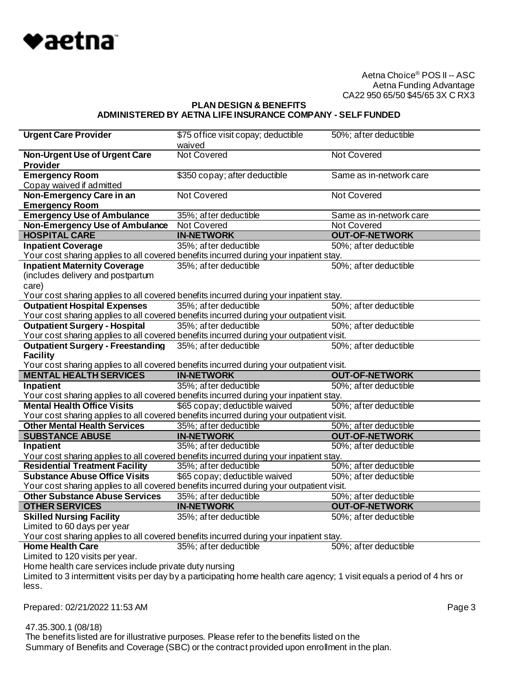

#### **PLAN DESIGN & BENEFITS ADMINISTERED BY AETNA LIFE INSURANCE COMPANY - SELF FUNDED**

| <b>Urgent Care Provider</b>                                                                                                  | \$75 office visit copay; deductible | 50%; after deductible   |
|------------------------------------------------------------------------------------------------------------------------------|-------------------------------------|-------------------------|
|                                                                                                                              | waived                              |                         |
| Non-Urgent Use of Urgent Care                                                                                                | <b>Not Covered</b>                  | <b>Not Covered</b>      |
| <b>Provider</b>                                                                                                              |                                     |                         |
| <b>Emergency Room</b>                                                                                                        | \$350 copay; after deductible       | Same as in-network care |
| Copay waived if admitted                                                                                                     |                                     |                         |
| Non-Emergency Care in an                                                                                                     | Not Covered                         | Not Covered             |
| <b>Emergency Room</b>                                                                                                        |                                     |                         |
| <b>Emergency Use of Ambulance</b>                                                                                            | 35%; after deductible               | Same as in-network care |
| Non-Emergency Use of Ambulance                                                                                               | Not Covered                         | Not Covered             |
| <b>HOSPITAL CARE</b>                                                                                                         | <b>IN-NETWORK</b>                   | <b>OUT-OF-NETWORK</b>   |
| <b>Inpatient Coverage</b>                                                                                                    | 35%; after deductible               | 50%; after deductible   |
| Your cost sharing applies to all covered benefits incurred during your inpatient stay.                                       |                                     |                         |
|                                                                                                                              |                                     |                         |
| <b>Inpatient Maternity Coverage</b>                                                                                          | 35%; after deductible               | 50%; after deductible   |
| (includes delivery and postpartum                                                                                            |                                     |                         |
| care)                                                                                                                        |                                     |                         |
| Your cost sharing applies to all covered benefits incurred during your inpatient stay.                                       |                                     |                         |
| <b>Outpatient Hospital Expenses</b>                                                                                          | 35%; after deductible               | 50%; after deductible   |
| Your cost sharing applies to all covered benefits incurred during your outpatient visit.                                     |                                     |                         |
| <b>Outpatient Surgery - Hospital</b>                                                                                         | 35%; after deductible               | 50%; after deductible   |
| Your cost sharing applies to all covered benefits incurred during your outpatient visit.                                     |                                     |                         |
| <b>Outpatient Surgery - Freestanding</b>                                                                                     | 35%; after deductible               | 50%; after deductible   |
| <b>Facility</b>                                                                                                              |                                     |                         |
| Your cost sharing applies to all covered benefits incurred during your outpatient visit.                                     |                                     |                         |
|                                                                                                                              |                                     |                         |
| <b>MENTAL HEALTH SERVICES</b>                                                                                                | <b>IN-NETWORK</b>                   | <b>OUT-OF-NETWORK</b>   |
| Inpatient                                                                                                                    | 35%; after deductible               | 50%; after deductible   |
|                                                                                                                              |                                     |                         |
| Your cost sharing applies to all covered benefits incurred during your inpatient stay.<br><b>Mental Health Office Visits</b> |                                     |                         |
|                                                                                                                              | \$65 copay; deductible waived       | 50%; after deductible   |
| Your cost sharing applies to all covered benefits incurred during your outpatient visit.                                     |                                     |                         |
| <b>Other Mental Health Services</b>                                                                                          | 35%; after deductible               | 50%; after deductible   |
| <b>SUBSTANCE ABUSE</b>                                                                                                       | <b>IN-NETWORK</b>                   | <b>OUT-OF-NETWORK</b>   |
| Inpatient                                                                                                                    | 35%; after deductible               | 50%; after deductible   |
| Your cost sharing applies to all covered benefits incurred during your inpatient stay.                                       |                                     |                         |
| <b>Residential Treatment Facility</b>                                                                                        | 35%; after deductible               | 50%; after deductible   |
| <b>Substance Abuse Office Visits</b>                                                                                         | \$65 copay; deductible waived       | 50%; after deductible   |
| Your cost sharing applies to all covered benefits incurred during your outpatient visit.                                     |                                     |                         |
| <b>Other Substance Abuse Services</b>                                                                                        | 35%; after deductible               | 50%; after deductible   |
| <b>OTHER SERVICES</b>                                                                                                        | <b>IN-NETWORK</b>                   | <b>OUT-OF-NETWORK</b>   |
| <b>Skilled Nursing Facility</b>                                                                                              | 35%; after deductible               | 50%; after deductible   |
| Limited to 60 days per year                                                                                                  |                                     |                         |
| Your cost sharing applies to all covered benefits incurred during your inpatient stay.                                       |                                     |                         |
| <b>Home Health Care</b>                                                                                                      | 35%; after deductible               | 50%; after deductible   |
| Limited to 120 visits per year.                                                                                              |                                     |                         |
| Home health care services include private duty nursing                                                                       |                                     |                         |
| Limited to 3 intermittent visits per day by a participating home health care agency; 1 visit equals a period of 4 hrs or     |                                     |                         |
| less.                                                                                                                        |                                     |                         |
|                                                                                                                              |                                     |                         |
| Prepared: 02/21/2022 11:53 AM                                                                                                |                                     | Page 3                  |

47.35.300.1 (08/18)

The benefits listed are for illustrative purposes. Please refer to the benefits listed on the

Summary of Benefits and Coverage (SBC) or the contract provided upon enrollment in the plan.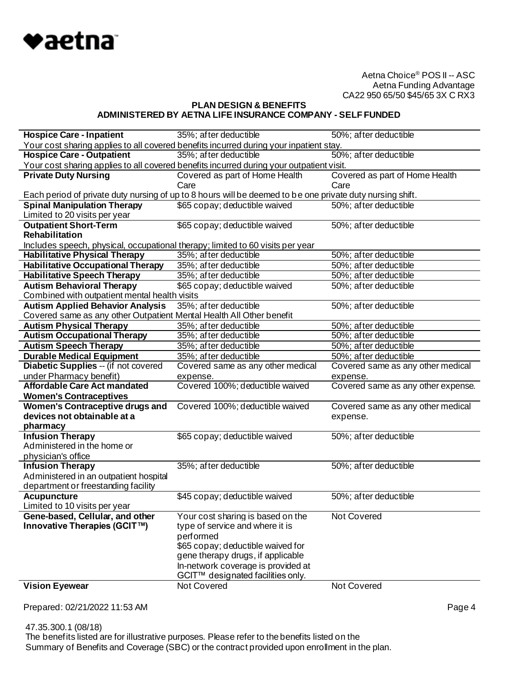

# **PLAN DESIGN & BENEFITS ADMINISTERED BY AETNA LIFE INSURANCE COMPANY - SELF FUNDED**

| <b>Hospice Care - Inpatient</b>                                                | 35%; after deductible                                                                                     | 50%; after deductible                |
|--------------------------------------------------------------------------------|-----------------------------------------------------------------------------------------------------------|--------------------------------------|
|                                                                                | Your cost sharing applies to all covered benefits incurred during your inpatient stay.                    |                                      |
| <b>Hospice Care - Outpatient</b>                                               | 35%; after deductible                                                                                     | 50%; after deductible                |
|                                                                                | Your cost sharing applies to all covered benefits incurred during your outpatient visit.                  |                                      |
| <b>Private Duty Nursing</b>                                                    | Covered as part of Home Health                                                                            | Covered as part of Home Health       |
|                                                                                | Care                                                                                                      | Care                                 |
|                                                                                | Each period of private duty nursing of up to 8 hours will be deemed to be one private duty nursing shift. |                                      |
| <b>Spinal Manipulation Therapy</b>                                             | \$65 copay; deductible waived                                                                             | 50%; after deductible                |
| Limited to 20 visits per year                                                  |                                                                                                           |                                      |
| <b>Outpatient Short-Term</b>                                                   | \$65 copay; deductible waived                                                                             | 50%; after deductible                |
| Rehabilitation                                                                 |                                                                                                           |                                      |
| Includes speech, physical, occupational therapy; limited to 60 visits per year |                                                                                                           |                                      |
| <b>Habilitative Physical Therapy</b>                                           | 35%; after deductible                                                                                     | 50%; after deductible                |
| <b>Habilitative Occupational Therapy</b>                                       | 35%; after deductible                                                                                     | 50%; after deductible                |
| <b>Habilitative Speech Therapy</b>                                             | 35%; after deductible                                                                                     | 50%; after deductible                |
| <b>Autism Behavioral Therapy</b>                                               | \$65 copay; deductible waived                                                                             | $\overline{50\%}$ ; after deductible |
| Combined with outpatient mental health visits                                  |                                                                                                           |                                      |
| <b>Autism Applied Behavior Analysis</b>                                        | 35%; after deductible                                                                                     | 50%; after deductible                |
| Covered same as any other Outpatient Mental Health All Other benefit           |                                                                                                           |                                      |
| <b>Autism Physical Therapy</b>                                                 | 35%; after deductible                                                                                     | 50%; after deductible                |
| <b>Autism Occupational Therapy</b>                                             | 35%; after deductible                                                                                     | 50%; after deductible                |
| <b>Autism Speech Therapy</b>                                                   | 35%; after deductible                                                                                     | 50%; after deductible                |
| <b>Durable Medical Equipment</b>                                               | 35%; after deductible                                                                                     | 50%; after deductible                |
| Diabetic Supplies -- (if not covered                                           |                                                                                                           | Covered same as any other medical    |
|                                                                                | Covered same as any other medical                                                                         |                                      |
| under Pharmacy benefit)                                                        | expense.                                                                                                  | expense.                             |
| <b>Affordable Care Act mandated</b>                                            | Covered 100%; deductible waived                                                                           | Covered same as any other expense.   |
| <b>Women's Contraceptives</b>                                                  |                                                                                                           |                                      |
| <b>Women's Contraceptive drugs and</b>                                         | Covered 100%; deductible waived                                                                           | Covered same as any other medical    |
| devices not obtainable at a                                                    |                                                                                                           | expense.                             |
| pharmacy                                                                       |                                                                                                           |                                      |
| <b>Infusion Therapy</b>                                                        | \$65 copay; deductible waived                                                                             | 50%; after deductible                |
| Administered in the home or                                                    |                                                                                                           |                                      |
| physician's office                                                             |                                                                                                           |                                      |
| <b>Infusion Therapy</b>                                                        | 35%; after deductible                                                                                     | 50%; after deductible                |
| Administered in an outpatient hospital                                         |                                                                                                           |                                      |
| department or freestanding facility                                            |                                                                                                           |                                      |
| <b>Acupuncture</b>                                                             | \$45 copay; deductible waived                                                                             | 50%; after deductible                |
| Limited to 10 visits per year                                                  |                                                                                                           |                                      |
| Gene-based, Cellular, and other                                                | Your cost sharing is based on the                                                                         | <b>Not Covered</b>                   |
| Innovative Therapies (GCIT™)                                                   | type of service and where it is                                                                           |                                      |
|                                                                                | performed                                                                                                 |                                      |
|                                                                                | \$65 copay; deductible waived for                                                                         |                                      |
|                                                                                | gene therapy drugs, if applicable                                                                         |                                      |
|                                                                                | In-network coverage is provided at                                                                        |                                      |
| <b>Vision Eyewear</b>                                                          | GCIT™ designated facilities only.<br>Not Covered                                                          | Not Covered                          |

Prepared: 02/21/2022 11:53 AM Page 4

 47.35.300.1 (08/18) The benefits listed are for illustrative purposes. Please refer to the benefits listed on the Summary of Benefits and Coverage (SBC) or the contract provided upon enrollment in the plan.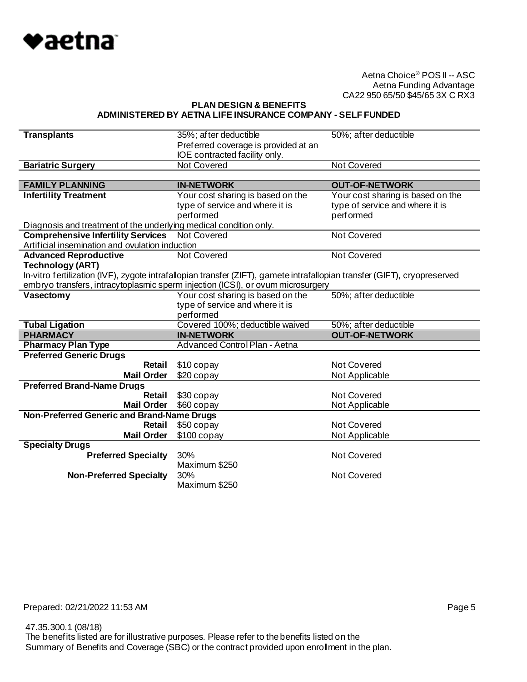

**PLAN DESIGN & BENEFITS ADMINISTERED BY AETNA LIFE INSURANCE COMPANY - SELF FUNDED**

| <b>Transplants</b>                                                | 35%; after deductible<br>Preferred coverage is provided at an<br>IOE contracted facility only.                            | 50%; after deductible             |
|-------------------------------------------------------------------|---------------------------------------------------------------------------------------------------------------------------|-----------------------------------|
| <b>Bariatric Surgery</b>                                          | <b>Not Covered</b>                                                                                                        | <b>Not Covered</b>                |
|                                                                   |                                                                                                                           |                                   |
| <b>FAMILY PLANNING</b>                                            | <b>IN-NETWORK</b>                                                                                                         | <b>OUT-OF-NETWORK</b>             |
| <b>Infertility Treatment</b>                                      | Your cost sharing is based on the                                                                                         | Your cost sharing is based on the |
|                                                                   | type of service and where it is                                                                                           | type of service and where it is   |
|                                                                   | performed                                                                                                                 | performed                         |
| Diagnosis and treatment of the underlying medical condition only. |                                                                                                                           |                                   |
| <b>Comprehensive Infertility Services</b>                         | <b>Not Covered</b>                                                                                                        | Not Covered                       |
| Artificial insemination and ovulation induction                   |                                                                                                                           |                                   |
| <b>Advanced Reproductive</b>                                      | <b>Not Covered</b>                                                                                                        | <b>Not Covered</b>                |
| <b>Technology (ART)</b>                                           |                                                                                                                           |                                   |
|                                                                   | In-vitro fertilization (IVF), zygote intrafallopian transfer (ZIFT), gamete intrafallopian transfer (GIFT), cryopreserved |                                   |
|                                                                   | embryo transfers, intracytoplasmic sperm injection (ICSI), or ovum microsurgery                                           |                                   |
| Vasectomy                                                         | Your cost sharing is based on the                                                                                         | 50%; after deductible             |
|                                                                   | type of service and where it is                                                                                           |                                   |
|                                                                   | performed                                                                                                                 |                                   |
| <b>Tubal Ligation</b>                                             | Covered 100%; deductible waived                                                                                           | 50%; after deductible             |
| <b>PHARMACY</b>                                                   | <b>IN-NETWORK</b><br>Advanced Control Plan - Aetna                                                                        | <b>OUT-OF-NETWORK</b>             |
| <b>Pharmacy Plan Type</b><br><b>Preferred Generic Drugs</b>       |                                                                                                                           |                                   |
| Retail                                                            | \$10 copay                                                                                                                | Not Covered                       |
| <b>Mail Order</b>                                                 | \$20 copay                                                                                                                |                                   |
| <b>Preferred Brand-Name Drugs</b>                                 |                                                                                                                           | Not Applicable                    |
| Retail                                                            | \$30 copay                                                                                                                | Not Covered                       |
| <b>Mail Order</b>                                                 | \$60 copay                                                                                                                | Not Applicable                    |
| Non-Preferred Generic and Brand-Name Drugs                        |                                                                                                                           |                                   |
| Retail                                                            | \$50 copay                                                                                                                | Not Covered                       |
| <b>Mail Order</b>                                                 | $$100$ copay                                                                                                              | Not Applicable                    |
| <b>Specialty Drugs</b>                                            |                                                                                                                           |                                   |
| <b>Preferred Specialty</b>                                        | 30%                                                                                                                       | <b>Not Covered</b>                |
|                                                                   | Maximum \$250                                                                                                             |                                   |
| <b>Non-Preferred Specialty</b>                                    | 30%                                                                                                                       | <b>Not Covered</b>                |
|                                                                   | Maximum \$250                                                                                                             |                                   |

 47.35.300.1 (08/18) The benefits listed are for illustrative purposes. Please refer to the benefits listed on the Summary of Benefits and Coverage (SBC) or the contract provided upon enrollment in the plan.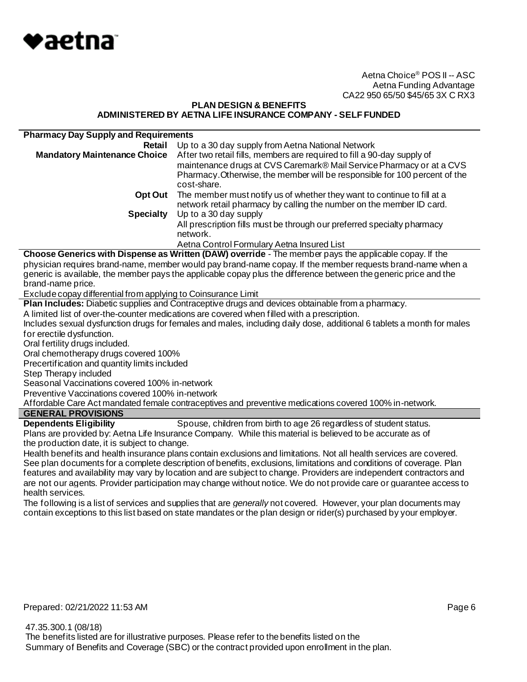

## **PLAN DESIGN & BENEFITS ADMINISTERED BY AETNA LIFE INSURANCE COMPANY - SELF FUNDED**

| <b>Pharmacy Day Supply and Requirements</b> |                                                                                                                                                                                                                                              |
|---------------------------------------------|----------------------------------------------------------------------------------------------------------------------------------------------------------------------------------------------------------------------------------------------|
| Retail                                      | Up to a 30 day supply from Aetna National Network                                                                                                                                                                                            |
| <b>Mandatory Maintenance Choice</b>         | After two retail fills, members are required to fill a 90-day supply of<br>maintenance drugs at CVS Caremark® Mail Service Pharmacy or at a CVS<br>Pharmacy. Otherwise, the member will be responsible for 100 percent of the<br>cost-share. |
| Opt Out                                     | The member must notify us of whether they want to continue to fill at a<br>network retail pharmacy by calling the number on the member ID card.                                                                                              |
| <b>Specialty</b>                            | Up to a 30 day supply                                                                                                                                                                                                                        |
|                                             | All prescription fills must be through our preferred specialty pharmacy<br>network.                                                                                                                                                          |
|                                             | Aetna Control Formulary Aetna Insured List                                                                                                                                                                                                   |

**Choose Generics with Dispense as Written (DAW) override** - The member pays the applicable copay. If the physician requires brand-name, member would pay brand-name copay. If the member requests brand-name when a generic is available, the member pays the applicable copay plus the difference between the generic price and the brand-name price.

Exclude copay differential from applying to Coinsurance Limit

**Plan Includes:** Diabetic supplies and Contraceptive drugs and devices obtainable from a pharmacy.

A limited list of over-the-counter medications are covered when filled with a prescription.

Includes sexual dysfunction drugs for females and males, including daily dose, additional 6 tablets a month for males for erectile dysfunction.

Oral fertility drugs included.

Oral chemotherapy drugs covered 100%

Precertification and quantity limits included

Step Therapy included

Seasonal Vaccinations covered 100% in-network

Preventive Vaccinations covered 100% in-network

Affordable Care Act mandated female contraceptives and preventive medications covered 100% in-network.

# **GENERAL PROVISIONS**

**Dependents Eligibility** Spouse, children from birth to age 26 regardless of student status. Plans are provided by: Aetna Life Insurance Company. While this material is believed to be accurate as of the production date, it is subject to change.

Health benefits and health insurance plans contain exclusions and limitations. Not all health services are covered. See plan documents for a complete description of benefits, exclusions, limitations and conditions of coverage. Plan features and availability may vary by location and are subject to change. Providers are independent contractors and are not our agents. Provider participation may change without notice. We do not provide care or guarantee access to health services.

The following is a list of services and supplies that are *generally* not covered. However, your plan documents may contain exceptions to this list based on state mandates or the plan design or rider(s) purchased by your employer.